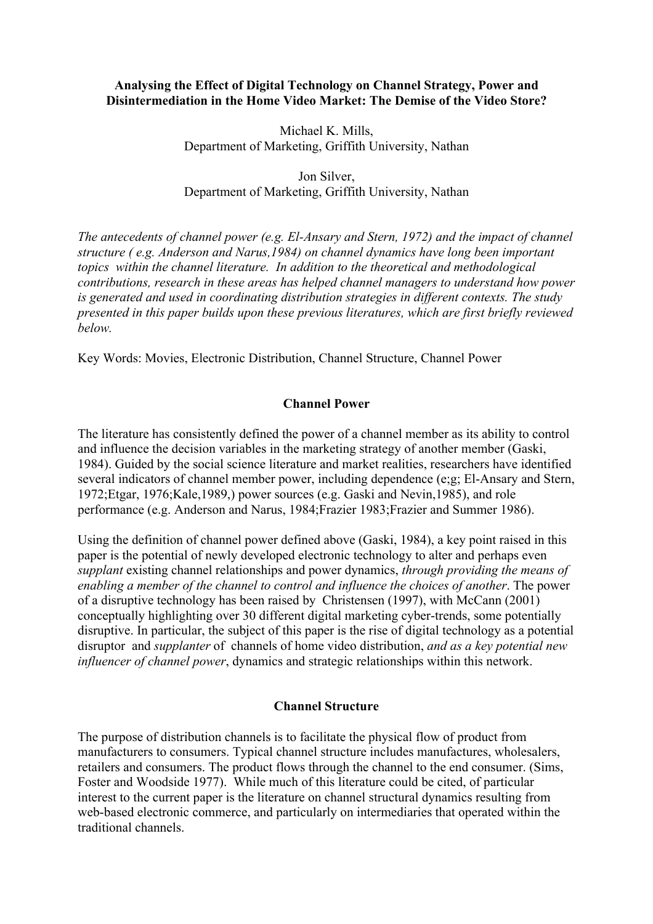#### Analysing the Effect of Digital Technology on Channel Strategy, Power and Disintermediation in the Home Video Market: The Demise of the Video Store?

Michael K. Mills, Department of Marketing, Griffith University, Nathan

Jon Silver, Department of Marketing, Griffith University, Nathan

*The antecedents of channel power (e.g. El-Ansary and Stern, 1972) and the impact of channel structure ( e.g. Anderson and Narus,1984) on channel dynamics have long been important topics within the channel literature. In addition to the theoretical and methodological contributions, research in these areas has helped channel managers to understand how power is generated and used in coordinating distribution strategies in different contexts. The study presented in this paper builds upon these previous literatures, which are first briefly reviewed below.*

Key Words: Movies, Electronic Distribution, Channel Structure, Channel Power

#### Channel Power

The literature has consistently defined the power of a channel member as its ability to control and influence the decision variables in the marketing strategy of another member (Gaski, 1984). Guided by the social science literature and market realities, researchers have identified several indicators of channel member power, including dependence (e;g; El-Ansary and Stern, 1972;Etgar, 1976;Kale,1989,) power sources (e.g. Gaski and Nevin,1985), and role performance (e.g. Anderson and Narus, 1984;Frazier 1983;Frazier and Summer 1986).

Using the definition of channel power defined above (Gaski, 1984), a key point raised in this paper is the potential of newly developed electronic technology to alter and perhaps even *supplant* existing channel relationships and power dynamics, *through providing the means of enabling a member of the channel to control and influence the choices of another*. The power of a disruptive technology has been raised by Christensen (1997), with McCann (2001) conceptually highlighting over 30 different digital marketing cyber-trends, some potentially disruptive. In particular, the subject of this paper is the rise of digital technology as a potential disruptor and *supplanter* of channels of home video distribution, *and as a key potential new influencer of channel power*, dynamics and strategic relationships within this network.

#### Channel Structure

The purpose of distribution channels is to facilitate the physical flow of product from manufacturers to consumers. Typical channel structure includes manufactures, wholesalers, retailers and consumers. The product flows through the channel to the end consumer. (Sims, Foster and Woodside 1977). While much of this literature could be cited, of particular interest to the current paper is the literature on channel structural dynamics resulting from web-based electronic commerce, and particularly on intermediaries that operated within the traditional channels.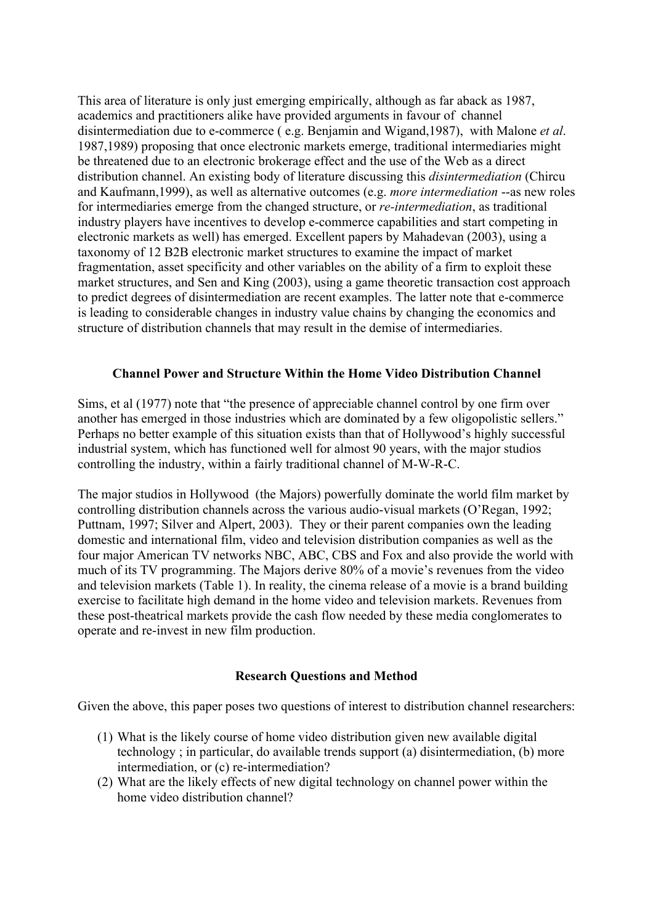This area of literature is only just emerging empirically, although as far aback as 1987, academics and practitioners alike have provided arguments in favour of channel disintermediation due to e-commerce ( e.g. Benjamin and Wigand,1987), with Malone *et al*. 1987,1989) proposing that once electronic markets emerge, traditional intermediaries might be threatened due to an electronic brokerage effect and the use of the Web as a direct distribution channel. An existing body of literature discussing this *disintermediation* (Chircu and Kaufmann,1999), as well as alternative outcomes (e.g. *more intermediation* --as new roles for intermediaries emerge from the changed structure, or *re-intermediation*, as traditional industry players have incentives to develop e-commerce capabilities and start competing in electronic markets as well) has emerged. Excellent papers by Mahadevan (2003), using a taxonomy of 12 B2B electronic market structures to examine the impact of market fragmentation, asset specificity and other variables on the ability of a firm to exploit these market structures, and Sen and King (2003), using a game theoretic transaction cost approach to predict degrees of disintermediation are recent examples. The latter note that e-commerce is leading to considerable changes in industry value chains by changing the economics and structure of distribution channels that may result in the demise of intermediaries.

#### Channel Power and Structure Within the Home Video Distribution Channel

Sims, et al (1977) note that "the presence of appreciable channel control by one firm over another has emerged in those industries which are dominated by a few oligopolistic sellers." Perhaps no better example of this situation exists than that of Hollywood's highly successful industrial system, which has functioned well for almost 90 years, with the major studios controlling the industry, within a fairly traditional channel of M-W-R-C.

The major studios in Hollywood (the Majors) powerfully dominate the world film market by controlling distribution channels across the various audio-visual markets (O'Regan, 1992; Puttnam, 1997; Silver and Alpert, 2003). They or their parent companies own the leading domestic and international film, video and television distribution companies as well as the four major American TV networks NBC, ABC, CBS and Fox and also provide the world with much of its TV programming. The Majors derive 80% of a movie's revenues from the video and television markets (Table 1). In reality, the cinema release of a movie is a brand building exercise to facilitate high demand in the home video and television markets. Revenues from these post-theatrical markets provide the cash flow needed by these media conglomerates to operate and re-invest in new film production.

### Research Questions and Method

Given the above, this paper poses two questions of interest to distribution channel researchers:

- (1) What is the likely course of home video distribution given new available digital technology ; in particular, do available trends support (a) disintermediation, (b) more intermediation, or (c) re-intermediation?
- (2) What are the likely effects of new digital technology on channel power within the home video distribution channel?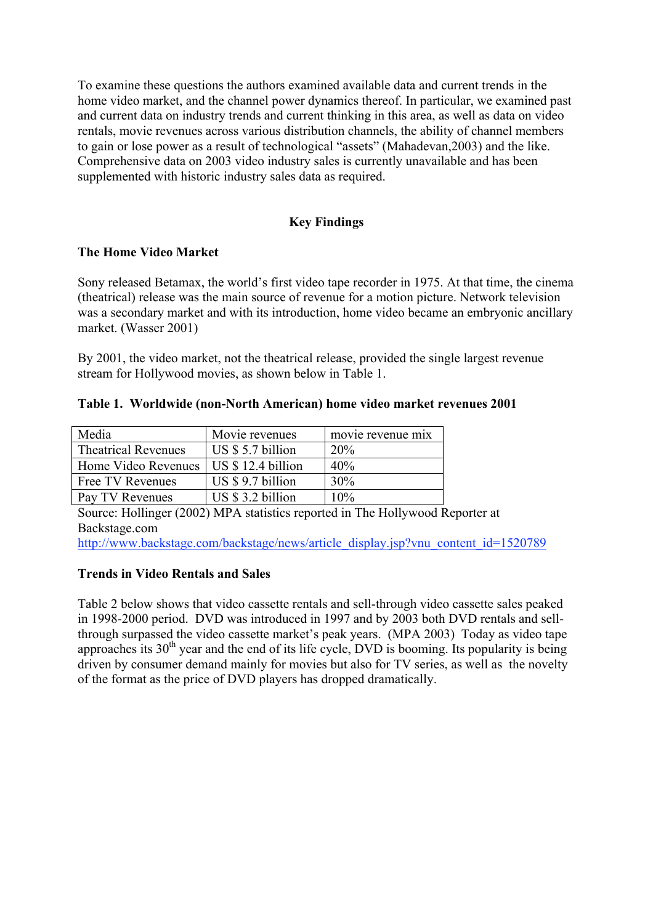To examine these questions the authors examined available data and current trends in the home video market, and the channel power dynamics thereof. In particular, we examined past and current data on industry trends and current thinking in this area, as well as data on video rentals, movie revenues across various distribution channels, the ability of channel members to gain or lose power as a result of technological "assets" (Mahadevan,2003) and the like. Comprehensive data on 2003 video industry sales is currently unavailable and has been supplemented with historic industry sales data as required.

## Key Findings

### The Home Video Market

Sony released Betamax, the world's first video tape recorder in 1975. At that time, the cinema (theatrical) release was the main source of revenue for a motion picture. Network television was a secondary market and with its introduction, home video became an embryonic ancillary market. (Wasser 2001)

By 2001, the video market, not the theatrical release, provided the single largest revenue stream for Hollywood movies, as shown below in Table 1.

|  | Table 1. Worldwide (non-North American) home video market revenues 2001 |  |  |  |  |  |  |
|--|-------------------------------------------------------------------------|--|--|--|--|--|--|
|--|-------------------------------------------------------------------------|--|--|--|--|--|--|

| Media                      | Movie revenues     | movie revenue mix |
|----------------------------|--------------------|-------------------|
| <b>Theatrical Revenues</b> | US \$ 5.7 billion  | 20%               |
| Home Video Revenues        | US $$12.4$ billion | 40%               |
| Free TV Revenues           | US $$9.7$ billion  | 30%               |
| Pay TV Revenues            | US \$ 3.2 billion  | 10%               |

Source: Hollinger (2002) MPA statistics reported in The Hollywood Reporter at Backstage.com

http://www.backstage.com/backstage/news/article\_display.jsp?vnu\_content\_id=1520789

### Trends in Video Rentals and Sales

Table 2 below shows that video cassette rentals and sell-through video cassette sales peaked in 1998-2000 period. DVD was introduced in 1997 and by 2003 both DVD rentals and sellthrough surpassed the video cassette market's peak years. (MPA 2003) Today as video tape approaches its  $30<sup>th</sup>$  year and the end of its life cycle, DVD is booming. Its popularity is being driven by consumer demand mainly for movies but also for TV series, as well as the novelty of the format as the price of DVD players has dropped dramatically.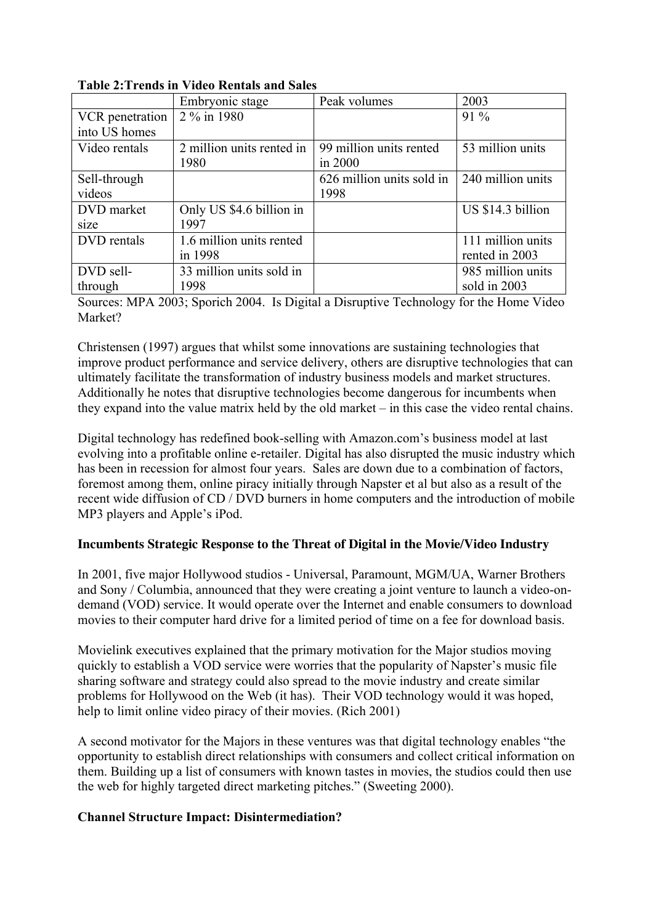|                 | Embryonic stage           | Peak volumes              | 2003              |  |  |  |  |  |
|-----------------|---------------------------|---------------------------|-------------------|--|--|--|--|--|
| VCR penetration | 2 % in 1980               |                           | $91\%$            |  |  |  |  |  |
| into US homes   |                           |                           |                   |  |  |  |  |  |
| Video rentals   | 2 million units rented in | 99 million units rented   | 53 million units  |  |  |  |  |  |
|                 | 1980                      | in 2000                   |                   |  |  |  |  |  |
| Sell-through    |                           | 626 million units sold in | 240 million units |  |  |  |  |  |
| videos          |                           | 1998                      |                   |  |  |  |  |  |
| DVD market      | Only US \$4.6 billion in  |                           | US \$14.3 billion |  |  |  |  |  |
| size            | 1997                      |                           |                   |  |  |  |  |  |
| DVD rentals     | 1.6 million units rented  |                           | 111 million units |  |  |  |  |  |
|                 | in 1998                   |                           | rented in 2003    |  |  |  |  |  |
| DVD sell-       | 33 million units sold in  |                           | 985 million units |  |  |  |  |  |
| through         | 1998                      |                           | sold in 2003      |  |  |  |  |  |

# Table 2:Trends in Video Rentals and Sales

Sources: MPA 2003; Sporich 2004. Is Digital a Disruptive Technology for the Home Video Market?

Christensen (1997) argues that whilst some innovations are sustaining technologies that improve product performance and service delivery, others are disruptive technologies that can ultimately facilitate the transformation of industry business models and market structures. Additionally he notes that disruptive technologies become dangerous for incumbents when they expand into the value matrix held by the old market – in this case the video rental chains.

Digital technology has redefined book-selling with Amazon.com's business model at last evolving into a profitable online e-retailer. Digital has also disrupted the music industry which has been in recession for almost four years. Sales are down due to a combination of factors, foremost among them, online piracy initially through Napster et al but also as a result of the recent wide diffusion of CD / DVD burners in home computers and the introduction of mobile MP3 players and Apple's iPod.

### **Incumbents Strategic Response to the Threat of Digital in the Movie/Video Industry**

In 2001, five major Hollywood studios - Universal, Paramount, MGM/UA, Warner Brothers and Sony / Columbia, announced that they were creating a joint venture to launch a video-ondemand (VOD) service. It would operate over the Internet and enable consumers to download movies to their computer hard drive for a limited period of time on a fee for download basis.

Movielink executives explained that the primary motivation for the Major studios moving quickly to establish a VOD service were worries that the popularity of Napster's music file sharing software and strategy could also spread to the movie industry and create similar problems for Hollywood on the Web (it has). Their VOD technology would it was hoped, help to limit online video piracy of their movies. (Rich 2001)

A second motivator for the Majors in these ventures was that digital technology enables "the opportunity to establish direct relationships with consumers and collect critical information on them. Building up a list of consumers with known tastes in movies, the studios could then use the web for highly targeted direct marketing pitches." (Sweeting 2000).

### Channel Structure Impact: Disintermediation?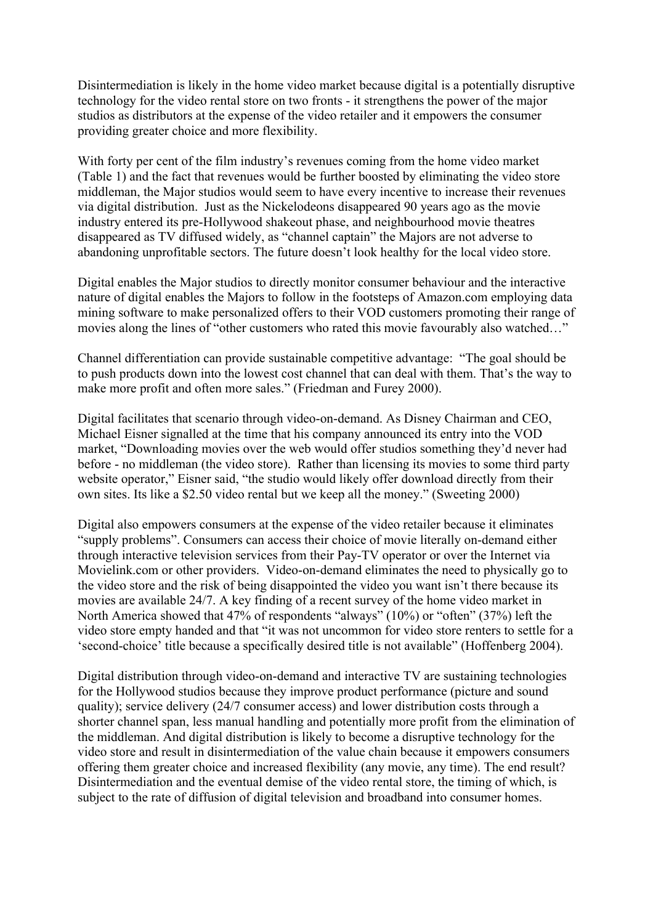Disintermediation is likely in the home video market because digital is a potentially disruptive technology for the video rental store on two fronts - it strengthens the power of the major studios as distributors at the expense of the video retailer and it empowers the consumer providing greater choice and more flexibility.

With forty per cent of the film industry's revenues coming from the home video market (Table 1) and the fact that revenues would be further boosted by eliminating the video store middleman, the Major studios would seem to have every incentive to increase their revenues via digital distribution. Just as the Nickelodeons disappeared 90 years ago as the movie industry entered its pre-Hollywood shakeout phase, and neighbourhood movie theatres disappeared as TV diffused widely, as "channel captain" the Majors are not adverse to abandoning unprofitable sectors. The future doesn't look healthy for the local video store.

Digital enables the Major studios to directly monitor consumer behaviour and the interactive nature of digital enables the Majors to follow in the footsteps of Amazon.com employing data mining software to make personalized offers to their VOD customers promoting their range of movies along the lines of "other customers who rated this movie favourably also watched…"

Channel differentiation can provide sustainable competitive advantage: "The goal should be to push products down into the lowest cost channel that can deal with them. That's the way to make more profit and often more sales." (Friedman and Furey 2000).

Digital facilitates that scenario through video-on-demand. As Disney Chairman and CEO, Michael Eisner signalled at the time that his company announced its entry into the VOD market, "Downloading movies over the web would offer studios something they'd never had before - no middleman (the video store). Rather than licensing its movies to some third party website operator," Eisner said, "the studio would likely offer download directly from their own sites. Its like a \$2.50 video rental but we keep all the money." (Sweeting 2000)

Digital also empowers consumers at the expense of the video retailer because it eliminates "supply problems". Consumers can access their choice of movie literally on-demand either through interactive television services from their Pay-TV operator or over the Internet via Movielink.com or other providers. Video-on-demand eliminates the need to physically go to the video store and the risk of being disappointed the video you want isn't there because its movies are available 24/7. A key finding of a recent survey of the home video market in North America showed that 47% of respondents "always" (10%) or "often" (37%) left the video store empty handed and that "it was not uncommon for video store renters to settle for a 'second-choice' title because a specifically desired title is not available" (Hoffenberg 2004).

Digital distribution through video-on-demand and interactive TV are sustaining technologies for the Hollywood studios because they improve product performance (picture and sound quality); service delivery (24/7 consumer access) and lower distribution costs through a shorter channel span, less manual handling and potentially more profit from the elimination of the middleman. And digital distribution is likely to become a disruptive technology for the video store and result in disintermediation of the value chain because it empowers consumers offering them greater choice and increased flexibility (any movie, any time). The end result? Disintermediation and the eventual demise of the video rental store, the timing of which, is subject to the rate of diffusion of digital television and broadband into consumer homes.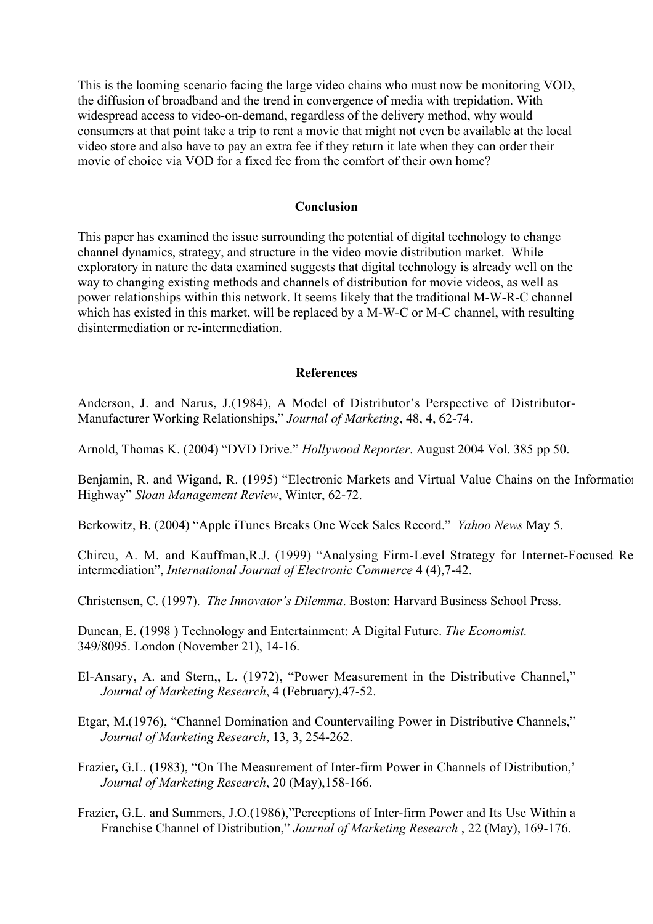This is the looming scenario facing the large video chains who must now be monitoring VOD, the diffusion of broadband and the trend in convergence of media with trepidation. With widespread access to video-on-demand, regardless of the delivery method, why would consumers at that point take a trip to rent a movie that might not even be available at the local video store and also have to pay an extra fee if they return it late when they can order their movie of choice via VOD for a fixed fee from the comfort of their own home?

#### **Conclusion**

This paper has examined the issue surrounding the potential of digital technology to change channel dynamics, strategy, and structure in the video movie distribution market. While exploratory in nature the data examined suggests that digital technology is already well on the way to changing existing methods and channels of distribution for movie videos, as well as power relationships within this network. It seems likely that the traditional M-W-R-C channel which has existed in this market, will be replaced by a M-W-C or M-C channel, with resulting disintermediation or re-intermediation.

#### **References**

Anderson, J. and Narus, J.(1984), A Model of Distributor's Perspective of Distributor-Manufacturer Working Relationships," *Journal of Marketing*, 48, 4, 62-74.

Arnold, Thomas K. (2004) "DVD Drive." *Hollywood Reporter*. August 2004 Vol. 385 pp 50.

Benjamin, R. and Wigand, R. (1995) "Electronic Markets and Virtual Value Chains on the Information Highway" *Sloan Management Review*, Winter, 62-72.

Berkowitz, B. (2004) "Apple iTunes Breaks One Week Sales Record." *Yahoo News* May 5.

Chircu, A. M. and Kauffman,R.J. (1999) "Analysing Firm-Level Strategy for Internet-Focused Reintermediation", *International Journal of Electronic Commerce* 4 (4),7-42.

Christensen, C. (1997). *The Innovator's Dilemma*. Boston: Harvard Business School Press.

Duncan, E. (1998 ) Technology and Entertainment: A Digital Future. *The Economist.* 349/8095. London (November 21), 14-16.

El-Ansary, A. and Stern,, L. (1972), "Power Measurement in the Distributive Channel," *Journal of Marketing Research*, 4 (February),47-52.

Etgar, M.(1976), "Channel Domination and Countervailing Power in Distributive Channels," *Journal of Marketing Research*, 13, 3, 254-262.

- Frazier, G.L. (1983), "On The Measurement of Inter-firm Power in Channels of Distribution,' *Journal of Marketing Research*, 20 (May),158-166.
- Frazier, G.L. and Summers, J.O.(1986),"Perceptions of Inter-firm Power and Its Use Within a Franchise Channel of Distribution," *Journal of Marketing Research* , 22 (May), 169-176.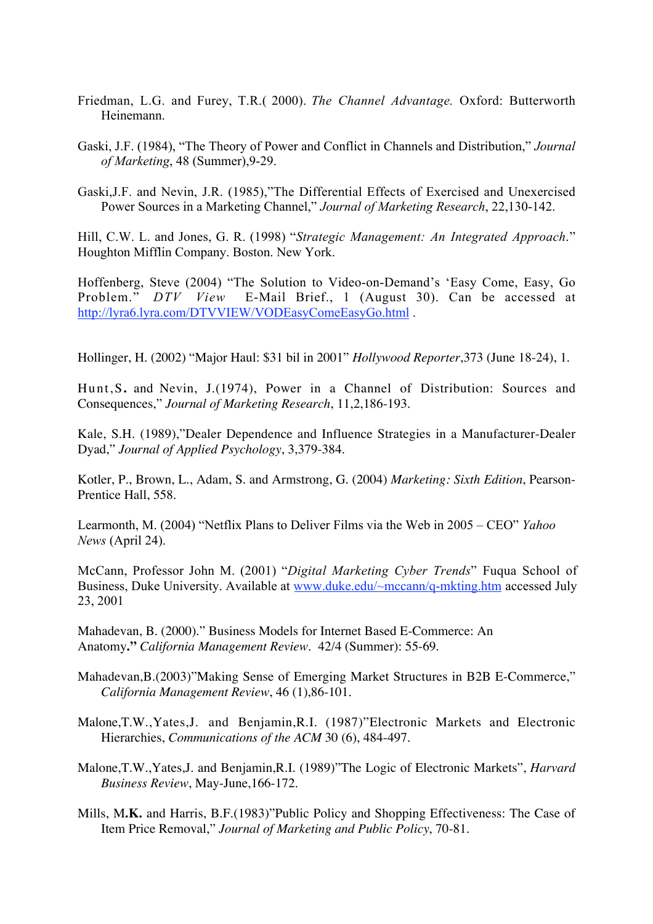- Friedman, L.G. and Furey, T.R.( 2000). *The Channel Advantage.* Oxford: Butterworth Heinemann.
- Gaski, J.F. (1984), "The Theory of Power and Conflict in Channels and Distribution," *Journal of Marketing*, 48 (Summer),9-29.
- Gaski,J.F. and Nevin, J.R. (1985),"The Differential Effects of Exercised and Unexercised Power Sources in a Marketing Channel," *Journal of Marketing Research*, 22,130-142.

Hill, C.W. L. and Jones, G. R. (1998) "*Strategic Management: An Integrated Approach*." Houghton Mifflin Company. Boston. New York.

Hoffenberg, Steve (2004) "The Solution to Video-on-Demand's 'Easy Come, Easy, Go Problem." *DTV View* E-Mail Brief., 1 (August 30). Can be accessed at http://lyra6.lyra.com/DTVVIEW/VODEasyComeEasyGo.html .

Hollinger, H. (2002) "Major Haul: \$31 bil in 2001" *Hollywood Reporter*,373 (June 18-24), 1.

Hunt,S**.** and Nevin, J.(1974), Power in a Channel of Distribution: Sources and Consequences," *Journal of Marketing Research*, 11,2,186-193.

Kale, S.H. (1989),"Dealer Dependence and Influence Strategies in a Manufacturer-Dealer Dyad," *Journal of Applied Psychology*, 3,379-384.

Kotler, P., Brown, L., Adam, S. and Armstrong, G. (2004) *Marketing: Sixth Edition*, Pearson-Prentice Hall, 558.

Learmonth, M. (2004) "Netflix Plans to Deliver Films via the Web in 2005 – CEO" *Yahoo News* (April 24).

McCann, Professor John M. (2001) "*Digital Marketing Cyber Trends*" Fuqua School of Business, Duke University. Available at www.duke.edu/~mccann/q-mkting.htm accessed July 23, 2001

Mahadevan, B. (2000)." Business Models for Internet Based E-Commerce: An Anatomy**."** *California Management Review*. 42/4 (Summer): 55-69.

- Mahadevan,B.(2003)"Making Sense of Emerging Market Structures in B2B E-Commerce," *California Management Review*, 46 (1),86-101.
- Malone,T.W.,Yates,J. and Benjamin,R.I. (1987)"Electronic Markets and Electronic Hierarchies, *Communications of the ACM* 30 (6), 484-497.
- Malone,T.W.,Yates,J. and Benjamin,R.I. (1989)"The Logic of Electronic Markets", *Harvard Business Review*, May-June,166-172.
- Mills, M**.K.** and Harris, B.F.(1983)"Public Policy and Shopping Effectiveness: The Case of Item Price Removal," *Journal of Marketing and Public Policy*, 70-81.